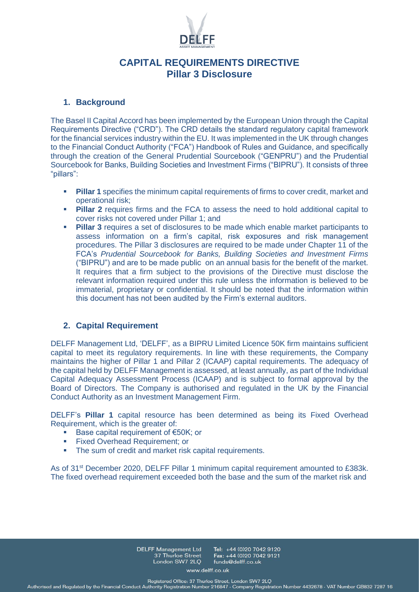

## **CAPITAL REQUIREMENTS DIRECTIVE Pillar 3 Disclosure**

### **1. Background**

The Basel II Capital Accord has been implemented by the European Union through the Capital Requirements Directive ("CRD"). The CRD details the standard regulatory capital framework for the financial services industry within the EU. It was implemented in the UK through changes to the Financial Conduct Authority ("FCA") Handbook of Rules and Guidance, and specifically through the creation of the General Prudential Sourcebook ("GENPRU") and the Prudential Sourcebook for Banks, Building Societies and Investment Firms ("BIPRU"). It consists of three "pillars":

- **Pillar 1** specifies the minimum capital requirements of firms to cover credit, market and operational risk;
- **Pillar 2** requires firms and the FCA to assess the need to hold additional capital to cover risks not covered under Pillar 1; and
- **Pillar 3** requires a set of disclosures to be made which enable market participants to assess information on a firm's capital, risk exposures and risk management procedures. The Pillar 3 disclosures are required to be made under Chapter 11 of the FCA's *Prudential Sourcebook for Banks, Building Societies and Investment Firms*  ("BIPRU") and are to be made public on an annual basis for the benefit of the market. It requires that a firm subject to the provisions of the Directive must disclose the relevant information required under this rule unless the information is believed to be immaterial, proprietary or confidential. It should be noted that the information within this document has not been audited by the Firm's external auditors.

## **2. Capital Requirement**

DELFF Management Ltd, 'DELFF', as a BIPRU Limited Licence 50K firm maintains sufficient capital to meet its regulatory requirements. In line with these requirements, the Company maintains the higher of Pillar 1 and Pillar 2 (ICAAP) capital requirements. The adequacy of the capital held by DELFF Management is assessed, at least annually, as part of the Individual Capital Adequacy Assessment Process (ICAAP) and is subject to formal approval by the Board of Directors. The Company is authorised and regulated in the UK by the Financial Conduct Authority as an Investment Management Firm.

DELFF's **Pillar 1** capital resource has been determined as being its Fixed Overhead Requirement, which is the greater of:

- Base capital requirement of  $E$ 50K; or
- Fixed Overhead Requirement; or
- The sum of credit and market risk capital requirements.

As of 31<sup>st</sup> December 2020, DELFF Pillar 1 minimum capital requirement amounted to £383k. The fixed overhead requirement exceeded both the base and the sum of the market risk and

> **DELFF Management Ltd** Tel: +44 (0)20 7042 9120 37 Thurloe Street Fax: +44 (0)20 7042 9121 London SW7 2LO funds@delff.co.uk

> > www.delff.co.uk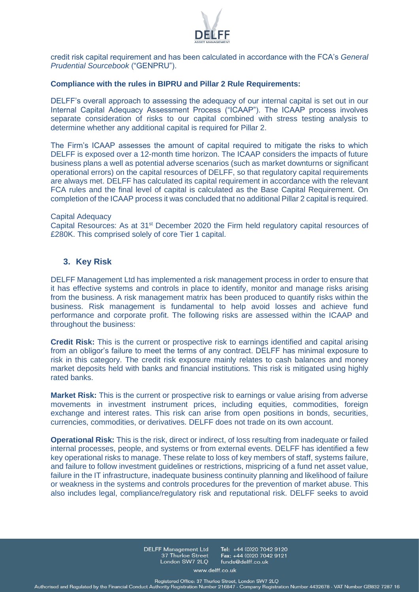

credit risk capital requirement and has been calculated in accordance with the FCA's *General Prudential Sourcebook* ("GENPRU").

#### **Compliance with the rules in BIPRU and Pillar 2 Rule Requirements:**

DELFF's overall approach to assessing the adequacy of our internal capital is set out in our Internal Capital Adequacy Assessment Process ("ICAAP"). The ICAAP process involves separate consideration of risks to our capital combined with stress testing analysis to determine whether any additional capital is required for Pillar 2.

The Firm's ICAAP assesses the amount of capital required to mitigate the risks to which DELFF is exposed over a 12-month time horizon. The ICAAP considers the impacts of future business plans a well as potential adverse scenarios (such as market downturns or significant operational errors) on the capital resources of DELFF, so that regulatory capital requirements are always met. DELFF has calculated its capital requirement in accordance with the relevant FCA rules and the final level of capital is calculated as the Base Capital Requirement. On completion of the ICAAP process it was concluded that no additional Pillar 2 capital is required.

#### Capital Adequacy

Capital Resources: As at 31<sup>st</sup> December 2020 the Firm held regulatory capital resources of £280K. This comprised solely of core Tier 1 capital.

### **3. Key Risk**

DELFF Management Ltd has implemented a risk management process in order to ensure that it has effective systems and controls in place to identify, monitor and manage risks arising from the business. A risk management matrix has been produced to quantify risks within the business. Risk management is fundamental to help avoid losses and achieve fund performance and corporate profit. The following risks are assessed within the ICAAP and throughout the business:

**Credit Risk:** This is the current or prospective risk to earnings identified and capital arising from an obligor's failure to meet the terms of any contract. DELFF has minimal exposure to risk in this category. The credit risk exposure mainly relates to cash balances and money market deposits held with banks and financial institutions. This risk is mitigated using highly rated banks.

**Market Risk:** This is the current or prospective risk to earnings or value arising from adverse movements in investment instrument prices, including equities, commodities, foreign exchange and interest rates. This risk can arise from open positions in bonds, securities, currencies, commodities, or derivatives. DELFF does not trade on its own account.

**Operational Risk:** This is the risk, direct or indirect, of loss resulting from inadequate or failed internal processes, people, and systems or from external events. DELFF has identified a few key operational risks to manage. These relate to loss of key members of staff, systems failure, and failure to follow investment guidelines or restrictions, mispricing of a fund net asset value, failure in the IT infrastructure, inadequate business continuity planning and likelihood of failure or weakness in the systems and controls procedures for the prevention of market abuse. This also includes legal, compliance/regulatory risk and reputational risk. DELFF seeks to avoid

> **DELFF Management Ltd** Tel: +44 (0)20 7042 9120 Fax: +44 (0)20 7042 9121 37 Thurloe Street London SW7 2LO funds@delff.co.uk

> > www.delff.co.uk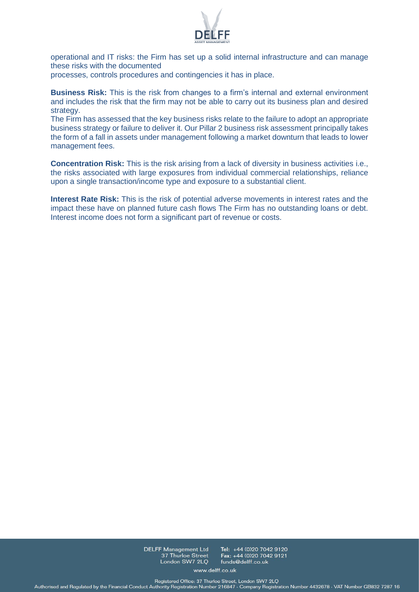

operational and IT risks: the Firm has set up a solid internal infrastructure and can manage these risks with the documented

processes, controls procedures and contingencies it has in place.

**Business Risk:** This is the risk from changes to a firm's internal and external environment and includes the risk that the firm may not be able to carry out its business plan and desired strategy.

The Firm has assessed that the key business risks relate to the failure to adopt an appropriate business strategy or failure to deliver it. Our Pillar 2 business risk assessment principally takes the form of a fall in assets under management following a market downturn that leads to lower management fees.

**Concentration Risk:** This is the risk arising from a lack of diversity in business activities i.e., the risks associated with large exposures from individual commercial relationships, reliance upon a single transaction/income type and exposure to a substantial client.

**Interest Rate Risk:** This is the risk of potential adverse movements in interest rates and the impact these have on planned future cash flows The Firm has no outstanding loans or debt. Interest income does not form a significant part of revenue or costs.

> **DELFF Management Ltd** 37 Thurloe Street London SW7 2LQ

Tel: +44 (0)20 7042 9120 Fax: +44 (0)20 7042 9121 funds@delff.co.uk

www.delff.co.uk

Registered Office: 37 Thurloe Street, London SW7 2LQ<br>Authorised and Regulated by the Financial Conduct Authority Registration Number 216847 - Company Registration Number 4432678 - VAT Number GB832 7287 16